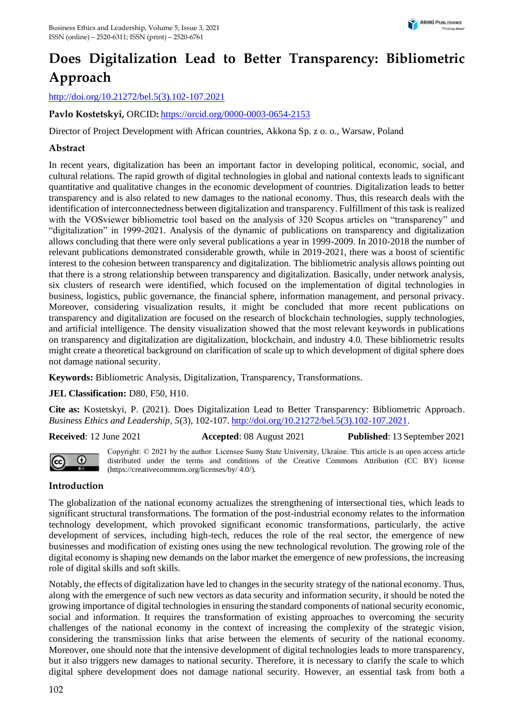# **Does Digitalization Lead to Better Transparency: Bibliometric Approach**

[http://doi.org/10.21272/bel.5\(3\).102-107.2021](http://doi.org/10.21272/bel.5(3).102-107.2021)

**Pavlo Kostetskyi,** ORCID**:** <https://orcid.org/0000-0003-0654-2153>

Director of Project Development with African countries, Akkona Sp. z o. o., Warsaw, Poland

## **Abstract**

In recent years, digitalization has been an important factor in developing political, economic, social, and cultural relations. The rapid growth of digital technologies in global and national contexts leads to significant quantitative and qualitative changes in the economic development of countries. Digitalization leads to better transparency and is also related to new damages to the national economy. Thus, this research deals with the identification of interconnectedness between digitalization and transparency. Fulfillment of this task is realized with the VOSviewer bibliometric tool based on the analysis of 320 Scopus articles on "transparency" and "digitalization" in 1999-2021. Analysis of the dynamic of publications on transparency and digitalization allows concluding that there were only several publications a year in 1999-2009. In 2010-2018 the number of relevant publications demonstrated considerable growth, while in 2019-2021, there was a boost of scientific interest to the cohesion between transparency and digitalization. The bibliometric analysis allows pointing out that there is a strong relationship between transparency and digitalization. Basically, under network analysis, six clusters of research were identified, which focused on the implementation of digital technologies in business, logistics, public governance, the financial sphere, information management, and personal privacy. Moreover, considering visualization results, it might be concluded that more recent publications on transparency and digitalization are focused on the research of blockchain technologies, supply technologies, and artificial intelligence. The density visualization showed that the most relevant keywords in publications on transparency and digitalization are digitalization, blockchain, and industry 4.0. These bibliometric results might create a theoretical background on clarification of scale up to which development of digital sphere does not damage national security.

**Keywords:** Bibliometric Analysis, Digitalization, Transparency, Transformations.

### **JEL Classification:** D80, F50, H10.

**Cite as:** Kostetskyi, P. (2021). Does Digitalization Lead to Better Transparency: Bibliometric Approach. *Business Ethics and Leadership, 5*(3), 102-107. [http://doi.org/10.21272/bel.5\(3\).102-107.2021.](http://doi.org/10.21272/bel.5(3).102-107.2021)

**Received**: 12 June 2021 **Accepted**: 08 August 2021 **Published**: 13 September 2021



Copyright: © 2021 by the author. Licensee Sumy State University, Ukraine. This article is an open access article distributed under the terms and conditions of the Creative Commons Attribution (CC BY) license (https://creativecommons.org/licenses/by/ 4.0/).

### **Introduction**

The globalization of the national economy actualizes the strengthening of intersectional ties, which leads to significant structural transformations. The formation of the post-industrial economy relates to the information technology development, which provoked significant economic transformations, particularly, the active development of services, including high-tech, reduces the role of the real sector, the emergence of new businesses and modification of existing ones using the new technological revolution. The growing role of the digital economy is shaping new demands on the labor market the emergence of new professions, the increasing role of digital skills and soft skills.

Notably, the effects of digitalization have led to changes in the security strategy of the national economy. Thus, along with the emergence of such new vectors as data security and information security, it should be noted the growing importance of digital technologies in ensuring the standard components of national security economic, social and information. It requires the transformation of existing approaches to overcoming the security challenges of the national economy in the context of increasing the complexity of the strategic vision, considering the transmission links that arise between the elements of security of the national economy. Moreover, one should note that the intensive development of digital technologies leads to more transparency, but it also triggers new damages to national security. Therefore, it is necessary to clarify the scale to which digital sphere development does not damage national security. However, an essential task from both a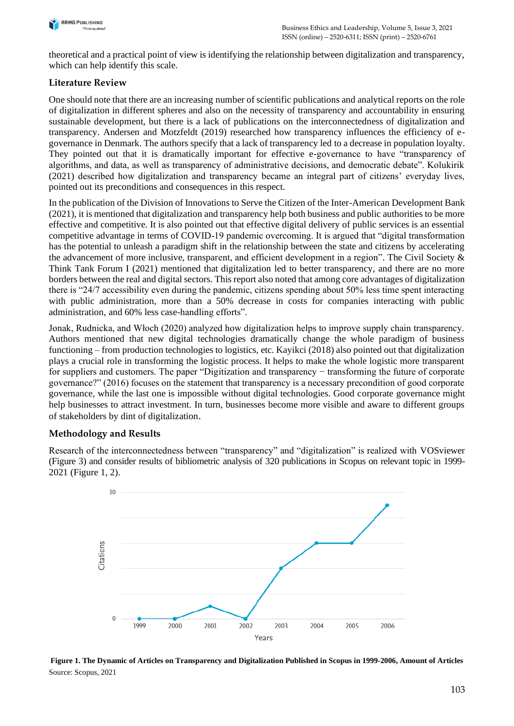

theoretical and a practical point of view is identifying the relationship between digitalization and transparency, which can help identify this scale.

# **Literature Review**

One should note that there are an increasing number of scientific publications and analytical reports on the role of digitalization in different spheres and also on the necessity of transparency and accountability in ensuring sustainable development, but there is a lack of publications on the interconnectedness of digitalization and transparency. Andersen and Motzfeldt (2019) researched how transparency influences the efficiency of egovernance in Denmark. The authors specify that a lack of transparency led to a decrease in population loyalty. They pointed out that it is dramatically important for effective e-governance to have "transparency of algorithms, and data, as well as transparency of administrative decisions, and democratic debate". Kolukirik (2021) described how digitalization and transparency became an integral part of citizens' everyday lives, pointed out its preconditions and consequences in this respect.

In the publication of the Division of Innovations to Serve the Citizen of the Inter-American Development Bank (2021), it is mentioned that digitalization and transparency help both business and public authorities to be more effective and competitive. It is also pointed out that effective digital delivery of public services is an essential competitive advantage in terms of COVID-19 pandemic overcoming. It is argued that "digital transformation has the potential to unleash a paradigm shift in the relationship between the state and citizens by accelerating the advancement of more inclusive, transparent, and efficient development in a region". The Civil Society & Think Tank Forum I (2021) mentioned that digitalization led to better transparency, and there are no more borders between the real and digital sectors. This report also noted that among core advantages of digitalization there is "24/7 accessibility even during the pandemic, citizens spending about 50% less time spent interacting with public administration, more than a 50% decrease in costs for companies interacting with public administration, and 60% less case-handling efforts".

Jonak, Rudnicka, and Włoch (2020) analyzed how digitalization helps to improve supply chain transparency. Authors mentioned that new digital technologies dramatically change the whole paradigm of business functioning – from production technologies to logistics, etc. Kayikci (2018) also pointed out that digitalization plays a crucial role in transforming the logistic process. It helps to make the whole logistic more transparent for suppliers and customers. The paper "Digitization and transparency − transforming the future of corporate governance?" (2016) focuses on the statement that transparency is a necessary precondition of good corporate governance, while the last one is impossible without digital technologies. Good corporate governance might help businesses to attract investment. In turn, businesses become more visible and aware to different groups of stakeholders by dint of digitalization.

# **Methodology and Results**

Research of the interconnectedness between "transparency" and "digitalization" is realized with VOSviewer (Figure 3) and consider results of bibliometric analysis of 320 publications in Scopus on relevant topic in 1999- 2021 (Figure 1, 2).



**Figure 1. The Dynamic of Articles on Transparency and Digitalization Published in Scopus in 1999-2006, Amount of Articles** Source: Scopus, 2021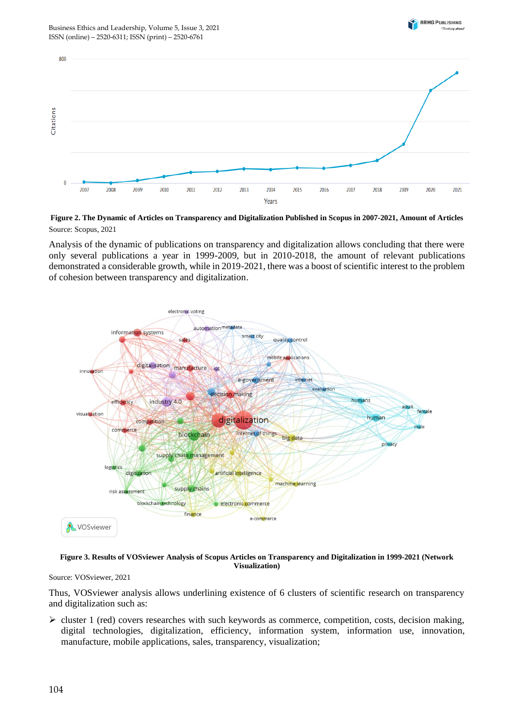



**Figure 2. The Dynamic of Articles on Transparency and Digitalization Published in Scopus in 2007-2021, Amount of Articles** Source: Scopus, 2021

Analysis of the dynamic of publications on transparency and digitalization allows concluding that there were only several publications a year in 1999-2009, but in 2010-2018, the amount of relevant publications demonstrated a considerable growth, while in 2019-2021, there was a boost of scientific interest to the problem of cohesion between transparency and digitalization.



**Figure 3. Results of VOSviewer Analysis of Scopus Articles on Transparency and Digitalization in 1999-2021 (Network Visualization)**

Source: VOSviewer, 2021

Thus, VOSviewer analysis allows underlining existence of 6 clusters of scientific research on transparency and digitalization such as:

 $\triangleright$  cluster 1 (red) covers researches with such keywords as commerce, competition, costs, decision making, digital technologies, digitalization, efficiency, information system, information use, innovation, manufacture, mobile applications, sales, transparency, visualization;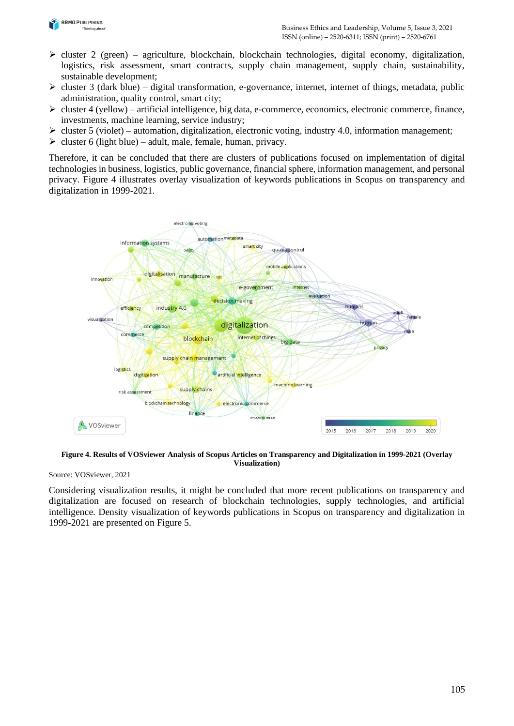

- $\triangleright$  cluster 2 (green) agriculture, blockchain, blockchain technologies, digital economy, digitalization, logistics, risk assessment, smart contracts, supply chain management, supply chain, sustainability, sustainable development;
- $\triangleright$  cluster 3 (dark blue) digital transformation, e-governance, internet, internet of things, metadata, public administration, quality control, smart city;
- $\triangleright$  cluster 4 (yellow) artificial intelligence, big data, e-commerce, economics, electronic commerce, finance, investments, machine learning, service industry;
- $\triangleright$  cluster 5 (violet) automation, digitalization, electronic voting, industry 4.0, information management;
- $\triangleright$  cluster 6 (light blue) adult, male, female, human, privacy.

Therefore, it can be concluded that there are clusters of publications focused on implementation of digital technologies in business, logistics, public governance, financial sphere, information management, and personal privacy. Figure 4 illustrates overlay visualization of keywords publications in Scopus on transparency and digitalization in 1999-2021.



**Figure 4. Results of VOSviewer Analysis of Scopus Articles on Transparency and Digitalization in 1999-2021 (Overlay Visualization)**

Source: VOSviewer, 2021

Considering visualization results, it might be concluded that more recent publications on transparency and digitalization are focused on research of blockchain technologies, supply technologies, and artificial intelligence. Density visualization of keywords publications in Scopus on transparency and digitalization in 1999-2021 are presented on Figure 5.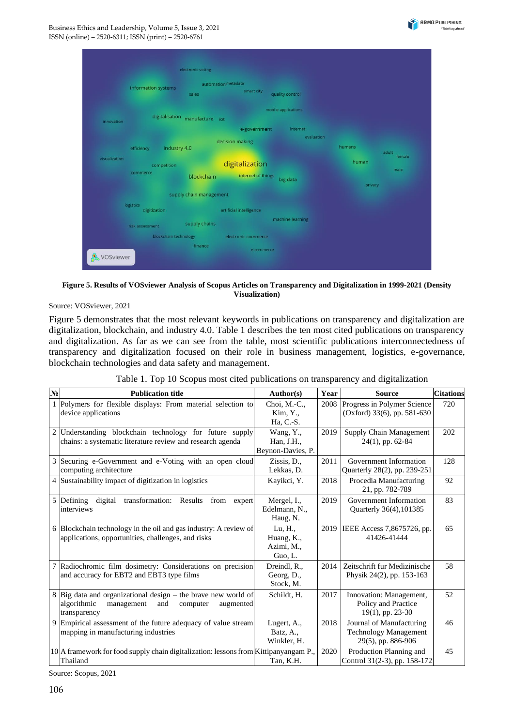

|               |                       | automation metadata     |                               |                     |         |                 |
|---------------|-----------------------|-------------------------|-------------------------------|---------------------|---------|-----------------|
|               | information systems   | sales                   | smart city                    | quality control     |         |                 |
|               | digitalisation        |                         |                               | mobile applications |         |                 |
| innovation    |                       | manufacture<br>iot      |                               |                     |         |                 |
|               |                       |                         | e-government                  | internet            |         |                 |
| efficiency    | industry 4.0          |                         | evaluation<br>decision making |                     | humans  |                 |
| visualization | competition           |                         | digitalization                |                     | human   | adult<br>female |
|               | commerce              | blockchain              | internet of things            | big data            |         | male            |
|               |                       |                         |                               |                     | privacy |                 |
|               |                       | supply chain management |                               |                     |         |                 |
| logistics     | digitization          |                         | artificial intelligence       |                     |         |                 |
|               | risk assessment       | supply chains           |                               | machine learning    |         |                 |
|               | blockchain technology |                         | electronic commerce           |                     |         |                 |

**Figure 5. Results of VOSviewer Analysis of Scopus Articles on Transparency and Digitalization in 1999-2021 (Density Visualization)**

Source: VOSviewer, 2021

Figure 5 demonstrates that the most relevant keywords in publications on transparency and digitalization are digitalization, blockchain, and industry 4.0. Table 1 describes the ten most cited publications on transparency and digitalization. As far as we can see from the table, most scientific publications interconnectedness of transparency and digitalization focused on their role in business management, logistics, e-governance, blockchain technologies and data safety and management.

| N <sub>2</sub> | <b>Publication title</b>                                                                                                                   | Author(s)                                      | Year | <b>Source</b>                                                                  | <b>Citations</b> |
|----------------|--------------------------------------------------------------------------------------------------------------------------------------------|------------------------------------------------|------|--------------------------------------------------------------------------------|------------------|
|                | 1 Polymers for flexible displays: From material selection to<br>device applications                                                        | Choi, M.-C.,<br>Kim, Y.<br>Ha, C.-S.           | 2008 | Progress in Polymer Science<br>(Oxford) $33(6)$ , pp. $581-630$                | 720              |
|                | 2 Understanding blockchain technology for future supply<br>chains: a systematic literature review and research agenda                      | Wang, Y.,<br>Han, J.H.,<br>Beynon-Davies, P.   | 2019 | Supply Chain Management<br>$24(1)$ , pp. 62-84                                 | 202              |
|                | 3 Securing e-Government and e-Voting with an open cloud<br>computing architecture                                                          | Zissis, D.,<br>Lekkas, D.                      | 2011 | Government Information<br>Quarterly 28(2), pp. 239-251                         | 128              |
|                | 4 Sustainability impact of digitization in logistics                                                                                       | Kayikci, Y.                                    | 2018 | Procedia Manufacturing<br>21, pp. 782-789                                      | 92               |
|                | 5 Defining<br>digital<br>transformation: Results from expert<br>interviews                                                                 | Mergel, I.,<br>Edelmann, N.,<br>Haug, N.       | 2019 | Government Information<br>Quarterly 36(4), 101385                              | 83               |
|                | 6 Blockchain technology in the oil and gas industry: A review of<br>applications, opportunities, challenges, and risks                     | Lu, H.,<br>Huang, K.,<br>Azimi, M.,<br>Guo, L. | 2019 | IEEE Access 7,8675726, pp.<br>41426-41444                                      | 65               |
|                | 7 Radiochromic film dosimetry: Considerations on precision<br>and accuracy for EBT2 and EBT3 type films                                    | Dreindl, R.,<br>Georg, D.,<br>Stock, M.        | 2014 | Zeitschrift fur Medizinische<br>Physik 24(2), pp. 153-163                      | 58               |
|                | 8 Big data and organizational design – the brave new world of<br>algorithmic<br>management<br>and<br>computer<br>augmented<br>transparency | Schildt, H.                                    | 2017 | Innovation: Management,<br>Policy and Practice<br>$19(1)$ , pp. 23-30          | 52               |
|                | 9 Empirical assessment of the future adequacy of value stream<br>mapping in manufacturing industries                                       | Lugert, A.,<br>Batz, A.,<br>Winkler, H.        | 2018 | Journal of Manufacturing<br><b>Technology Management</b><br>29(5), pp. 886-906 | 46               |
|                | 10 A framework for food supply chain digitalization: lessons from Kittipanyangam P.<br>Thailand                                            | Tan, K.H.                                      | 2020 | Production Planning and<br>Control 31(2-3), pp. 158-172                        | 45               |

Table 1. Top 10 Scopus most cited publications on transparency and digitalization

Source: Scopus, 2021